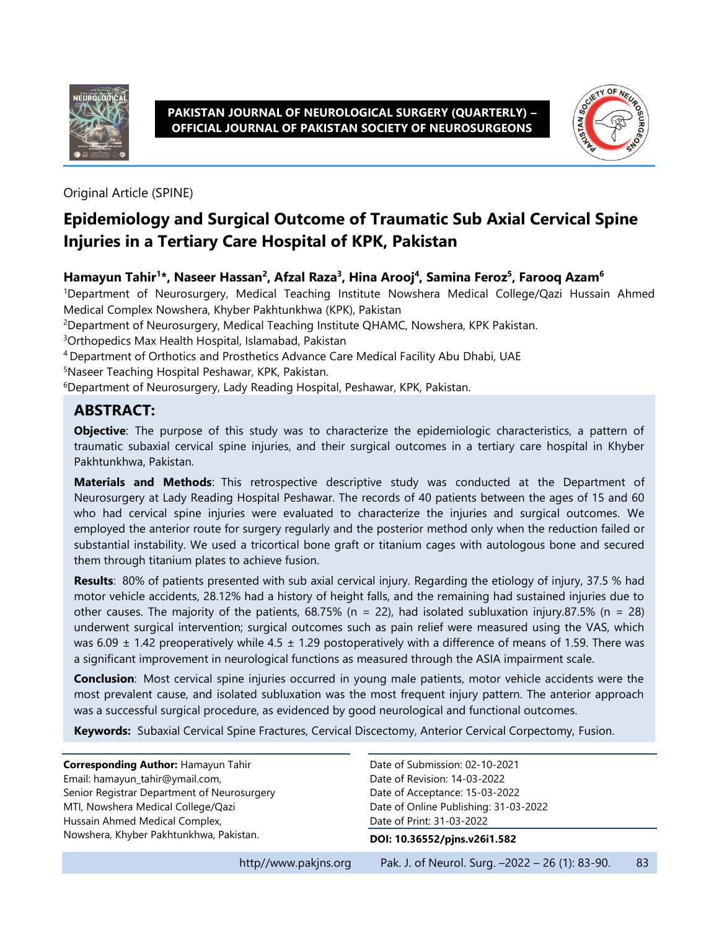

#### **PAKISTAN JOURNAL OF NEUROLOGICAL SURGERY (QUARTERLY) – OFFICIAL JOURNAL OF PAKISTAN SOCIETY OF NEUROSURGEONS**



Original Article (SPINE)

# **Epidemiology and Surgical Outcome of Traumatic Sub Axial Cervical Spine Injuries in a Tertiary Care Hospital of KPK, Pakistan**

#### **Hamayun Tahir<sup>1</sup> \*, Naseer Hassan<sup>2</sup> , Afzal Raza<sup>3</sup> , Hina Arooj<sup>4</sup> , Samina Feroz<sup>5</sup> , Farooq Azam<sup>6</sup>**

<sup>1</sup>Department of Neurosurgery, Medical Teaching Institute Nowshera Medical College/Qazi Hussain Ahmed Medical Complex Nowshera, Khyber Pakhtunkhwa (KPK), Pakistan

<sup>2</sup>Department of Neurosurgery, Medical Teaching Institute QHAMC, Nowshera, KPK Pakistan.

<sup>3</sup>Orthopedics Max Health Hospital, Islamabad, Pakistan

<sup>4</sup>Department of Orthotics and Prosthetics Advance Care Medical Facility Abu Dhabi, UAE

<sup>5</sup>Naseer Teaching Hospital Peshawar, KPK, Pakistan.

<sup>6</sup>Department of Neurosurgery, Lady Reading Hospital, Peshawar, KPK, Pakistan.

### **ABSTRACT:**

**Objective**: The purpose of this study was to characterize the epidemiologic characteristics, a pattern of traumatic subaxial cervical spine injuries, and their surgical outcomes in a tertiary care hospital in Khyber Pakhtunkhwa, Pakistan.

**Materials and Methods**:This retrospective descriptive study was conducted at the Department of Neurosurgery at Lady Reading Hospital Peshawar. The records of 40 patients between the ages of 15 and 60 who had cervical spine injuries were evaluated to characterize the injuries and surgical outcomes. We employed the anterior route for surgery regularly and the posterior method only when the reduction failed or substantial instability. We used a tricortical bone graft or titanium cages with autologous bone and secured them through titanium plates to achieve fusion.

**Results**:80% of patients presented with sub axial cervical injury. Regarding the etiology of injury, 37.5 % had motor vehicle accidents, 28.12% had a history of height falls, and the remaining had sustained injuries due to other causes. The majority of the patients,  $68.75\%$  (n = 22), had isolated subluxation injury.87.5% (n = 28) underwent surgical intervention; surgical outcomes such as pain relief were measured using the VAS, which was 6.09  $\pm$  1.42 preoperatively while 4.5  $\pm$  1.29 postoperatively with a difference of means of 1.59. There was a significant improvement in neurological functions as measured through the ASIA impairment scale.

**Conclusion**:Most cervical spine injuries occurred in young male patients, motor vehicle accidents were the most prevalent cause, and isolated subluxation was the most frequent injury pattern. The anterior approach was a successful surgical procedure, as evidenced by good neurological and functional outcomes.

**Keywords:** Subaxial Cervical Spine Fractures, Cervical Discectomy, Anterior Cervical Corpectomy, Fusion.

| Corresponding Author: Hamayun Tahir         | Date of Submission: 02-10-2021                                                                       |    |  |
|---------------------------------------------|------------------------------------------------------------------------------------------------------|----|--|
| Email: hamayun_tahir@ymail.com,             | Date of Revision: 14-03-2022                                                                         |    |  |
| Senior Registrar Department of Neurosurgery | Date of Acceptance: 15-03-2022<br>Date of Online Publishing: 31-03-2022<br>Date of Print: 31-03-2022 |    |  |
| MTI, Nowshera Medical College/Qazi          |                                                                                                      |    |  |
| Hussain Ahmed Medical Complex,              |                                                                                                      |    |  |
| Nowshera, Khyber Pakhtunkhwa, Pakistan.     | DOI: 10.36552/pjns.v26i1.582                                                                         |    |  |
| http//www.pakins.org                        | Pak. J. of Neurol. Surg. -2022 - 26 (1): 83-90.                                                      | 83 |  |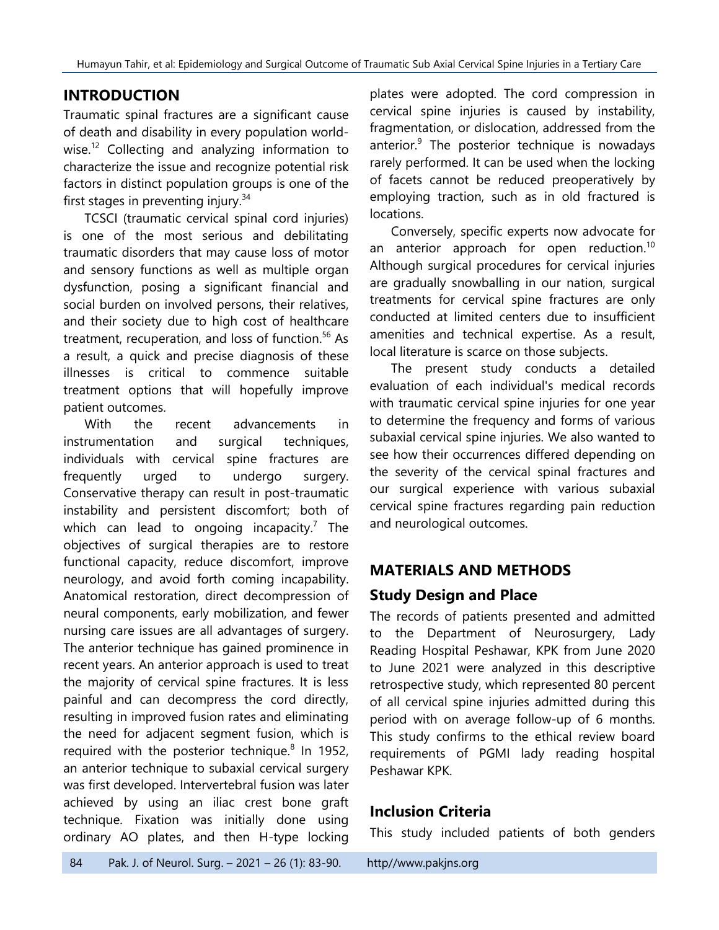# **INTRODUCTION**

Traumatic spinal fractures are a significant cause of death and disability in every population worldwise.<sup>12</sup> Collecting and analyzing information to characterize the issue and recognize potential risk factors in distinct population groups is one of the first stages in preventing injury.<sup>34</sup>

TCSCI (traumatic cervical spinal cord injuries) is one of the most serious and debilitating traumatic disorders that may cause loss of motor and sensory functions as well as multiple organ dysfunction, posing a significant financial and social burden on involved persons, their relatives, and their society due to high cost of healthcare treatment, recuperation, and loss of function. <sup>56</sup> As a result, a quick and precise diagnosis of these illnesses is critical to commence suitable treatment options that will hopefully improve patient outcomes.

With the recent advancements in instrumentation and surgical techniques, individuals with cervical spine fractures are frequently urged to undergo surgery. Conservative therapy can result in post-traumatic instability and persistent discomfort; both of which can lead to ongoing incapacity.<sup>7</sup> The objectives of surgical therapies are to restore functional capacity, reduce discomfort, improve neurology, and avoid forth coming incapability. Anatomical restoration, direct decompression of neural components, early mobilization, and fewer nursing care issues are all advantages of surgery. The anterior technique has gained prominence in recent years. An anterior approach is used to treat the majority of cervical spine fractures. It is less painful and can decompress the cord directly, resulting in improved fusion rates and eliminating the need for adjacent segment fusion, which is required with the posterior technique.<sup>8</sup> In 1952, an anterior technique to subaxial cervical surgery was first developed. Intervertebral fusion was later achieved by using an iliac crest bone graft technique. Fixation was initially done using ordinary AO plates, and then H-type locking

plates were adopted. The cord compression in cervical spine injuries is caused by instability, fragmentation, or dislocation, addressed from the anterior. 9 The posterior technique is nowadays rarely performed. It can be used when the locking of facets cannot be reduced preoperatively by employing traction, such as in old fractured is locations.

Conversely, specific experts now advocate for an anterior approach for open reduction.<sup>10</sup> Although surgical procedures for cervical injuries are gradually snowballing in our nation, surgical treatments for cervical spine fractures are only conducted at limited centers due to insufficient amenities and technical expertise. As a result, local literature is scarce on those subjects.

The present study conducts a detailed evaluation of each individual's medical records with traumatic cervical spine injuries for one year to determine the frequency and forms of various subaxial cervical spine injuries. We also wanted to see how their occurrences differed depending on the severity of the cervical spinal fractures and our surgical experience with various subaxial cervical spine fractures regarding pain reduction and neurological outcomes.

## **MATERIALS AND METHODS**

### **Study Design and Place**

The records of patients presented and admitted to the Department of Neurosurgery, Lady Reading Hospital Peshawar, KPK from June 2020 to June 2021 were analyzed in this descriptive retrospective study, which represented 80 percent of all cervical spine injuries admitted during this period with on average follow-up of 6 months. This study confirms to the ethical review board requirements of PGMI lady reading hospital Peshawar KPK.

### **Inclusion Criteria**

This study included patients of both genders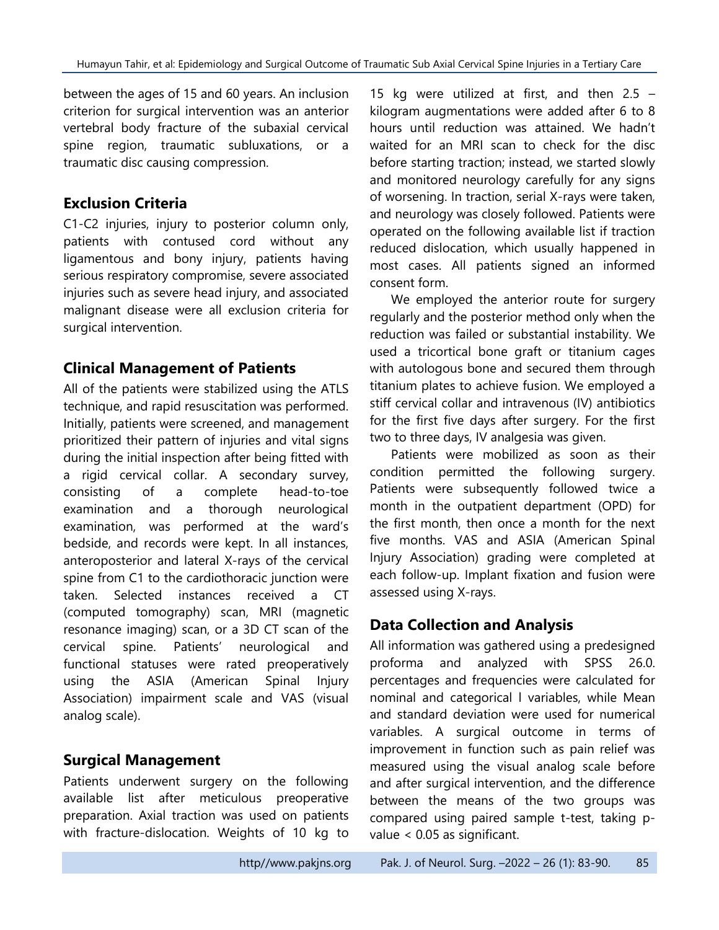between the ages of 15 and 60 years. An inclusion criterion for surgical intervention was an anterior vertebral body fracture of the subaxial cervical spine region, traumatic subluxations, or a traumatic disc causing compression.

### **Exclusion Criteria**

C1-C2 injuries, injury to posterior column only, patients with contused cord without any ligamentous and bony injury, patients having serious respiratory compromise, severe associated injuries such as severe head injury, and associated malignant disease were all exclusion criteria for surgical intervention.

### **Clinical Management of Patients**

All of the patients were stabilized using the ATLS technique, and rapid resuscitation was performed. Initially, patients were screened, and management prioritized their pattern of injuries and vital signs during the initial inspection after being fitted with a rigid cervical collar. A secondary survey, consisting of a complete head-to-toe examination and a thorough neurological examination, was performed at the ward's bedside, and records were kept. In all instances, anteroposterior and lateral X-rays of the cervical spine from C1 to the cardiothoracic junction were taken. Selected instances received a CT (computed tomography) scan, MRI (magnetic resonance imaging) scan, or a 3D CT scan of the cervical spine. Patients' neurological and functional statuses were rated preoperatively using the ASIA (American Spinal Injury Association) impairment scale and VAS (visual analog scale).

### **Surgical Management**

Patients underwent surgery on the following available list after meticulous preoperative preparation. Axial traction was used on patients with fracture-dislocation. Weights of 10 kg to

15 kg were utilized at first, and then 2.5 – kilogram augmentations were added after 6 to 8 hours until reduction was attained. We hadn't waited for an MRI scan to check for the disc before starting traction; instead, we started slowly and monitored neurology carefully for any signs of worsening. In traction, serial X-rays were taken, and neurology was closely followed. Patients were operated on the following available list if traction reduced dislocation, which usually happened in most cases. All patients signed an informed consent form.

We employed the anterior route for surgery regularly and the posterior method only when the reduction was failed or substantial instability. We used a tricortical bone graft or titanium cages with autologous bone and secured them through titanium plates to achieve fusion. We employed a stiff cervical collar and intravenous (IV) antibiotics for the first five days after surgery. For the first two to three days, IV analgesia was given.

Patients were mobilized as soon as their condition permitted the following surgery. Patients were subsequently followed twice a month in the outpatient department (OPD) for the first month, then once a month for the next five months. VAS and ASIA (American Spinal Injury Association) grading were completed at each follow-up. Implant fixation and fusion were assessed using X-rays.

## **Data Collection and Analysis**

All information was gathered using a predesigned proforma and analyzed with SPSS 26.0. percentages and frequencies were calculated for nominal and categorical l variables, while Mean and standard deviation were used for numerical variables. A surgical outcome in terms of improvement in function such as pain relief was measured using the visual analog scale before and after surgical intervention, and the difference between the means of the two groups was compared using paired sample t-test, taking pvalue < 0.05 as significant.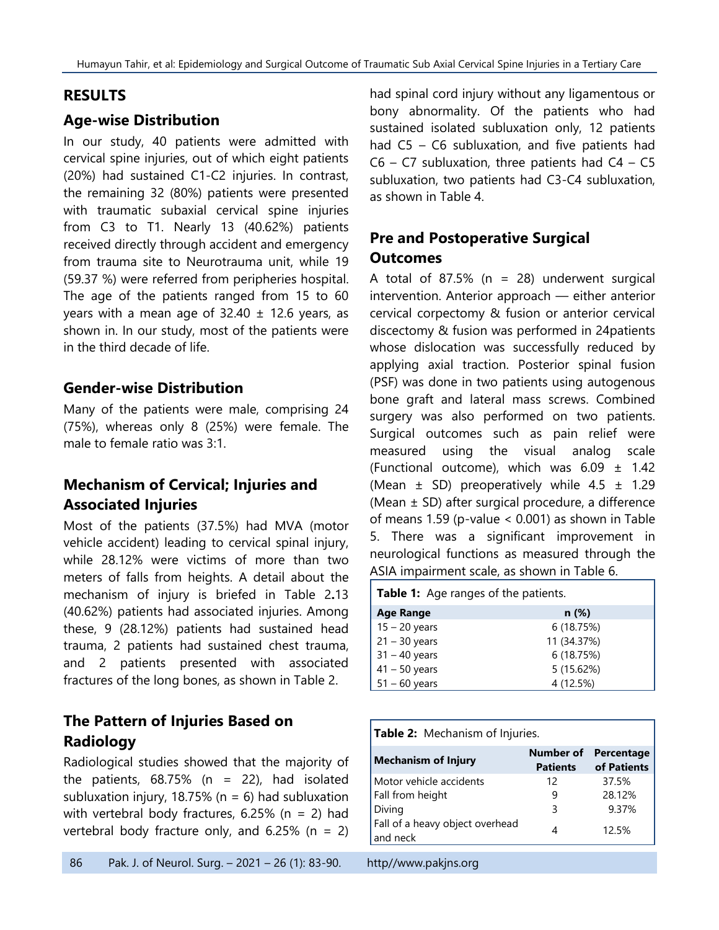#### **RESULTS**

#### **Age-wise Distribution**

In our study, 40 patients were admitted with cervical spine injuries, out of which eight patients (20%) had sustained C1-C2 injuries. In contrast, the remaining 32 (80%) patients were presented with traumatic subaxial cervical spine injuries from C3 to T1. Nearly 13 (40.62%) patients received directly through accident and emergency from trauma site to Neurotrauma unit, while 19 (59.37 %) were referred from peripheries hospital. The age of the patients ranged from 15 to 60 years with a mean age of  $32.40 \pm 12.6$  years, as shown in. In our study, most of the patients were in the third decade of life.

#### **Gender-wise Distribution**

Many of the patients were male, comprising 24 (75%), whereas only 8 (25%) were female. The male to female ratio was 3:1.

### **Mechanism of Cervical; Injuries and Associated Injuries**

Most of the patients (37.5%) had MVA (motor vehicle accident) leading to cervical spinal injury, while 28.12% were victims of more than two meters of falls from heights. A detail about the mechanism of injury is briefed in [Table 2](#page-3-0)**.**13 (40.62%) patients had associated injuries. Among these, 9 (28.12%) patients had sustained head trauma, 2 patients had sustained chest trauma, and 2 patients presented with associated fractures of the long bones, as shown in Table 2.

### **The Pattern of Injuries Based on Radiology**

Radiological studies showed that the majority of the patients,  $68.75\%$  (n = 22), had isolated subluxation injury, 18.75% ( $n = 6$ ) had subluxation with vertebral body fractures,  $6.25\%$  (n = 2) had vertebral body fracture only, and  $6.25\%$  (n = 2) had spinal cord injury without any ligamentous or bony abnormality. Of the patients who had sustained isolated subluxation only, 12 patients had C5 – C6 subluxation, and five patients had  $C6 - C7$  subluxation, three patients had  $C4 - C5$ subluxation, two patients had C3-C4 subluxation, as shown in [Table 4.](#page-4-0)

# **Pre and Postoperative Surgical Outcomes**

A total of 87.5% ( $n = 28$ ) underwent surgical intervention. Anterior approach — either anterior cervical corpectomy & fusion or anterior cervical discectomy & fusion was performed in 24patients whose dislocation was successfully reduced by applying axial traction. Posterior spinal fusion (PSF) was done in two patients using autogenous bone graft and lateral mass screws. Combined surgery was also performed on two patients. Surgical outcomes such as pain relief were measured using the visual analog scale (Functional outcome), which was  $6.09 \pm 1.42$ (Mean  $\pm$  SD) preoperatively while 4.5  $\pm$  1.29 (Mean ± SD) after surgical procedure, a difference of means 1.59 (p-value < 0.001) as shown in [Table](#page-4-1)  [5.](#page-4-1) There was a significant improvement in neurological functions as measured through the ASIA impairment scale, as shown in [Table 6.](#page-4-2)

| <b>Table 1:</b> Age ranges of the patients. |             |  |
|---------------------------------------------|-------------|--|
| <b>Age Range</b>                            | n(%)        |  |
| $15 - 20$ years                             | 6(18.75%)   |  |
| $21 - 30$ years                             | 11 (34.37%) |  |
| $31 - 40$ years                             | 6 (18.75%)  |  |
| $41 - 50$ years                             | 5 (15.62%)  |  |
| $51 - 60$ years                             | 4 (12.5%)   |  |
|                                             |             |  |

<span id="page-3-0"></span>

| Table 2: Mechanism of Injuries.     |                           |  |  |
|-------------------------------------|---------------------------|--|--|
| <b>Number of</b><br><b>Patients</b> | Percentage<br>of Patients |  |  |
| 12                                  | 37.5%                     |  |  |
| 9                                   | 28.12%                    |  |  |
| 3                                   | 9.37%                     |  |  |
| 4                                   | 12.5%                     |  |  |
|                                     |                           |  |  |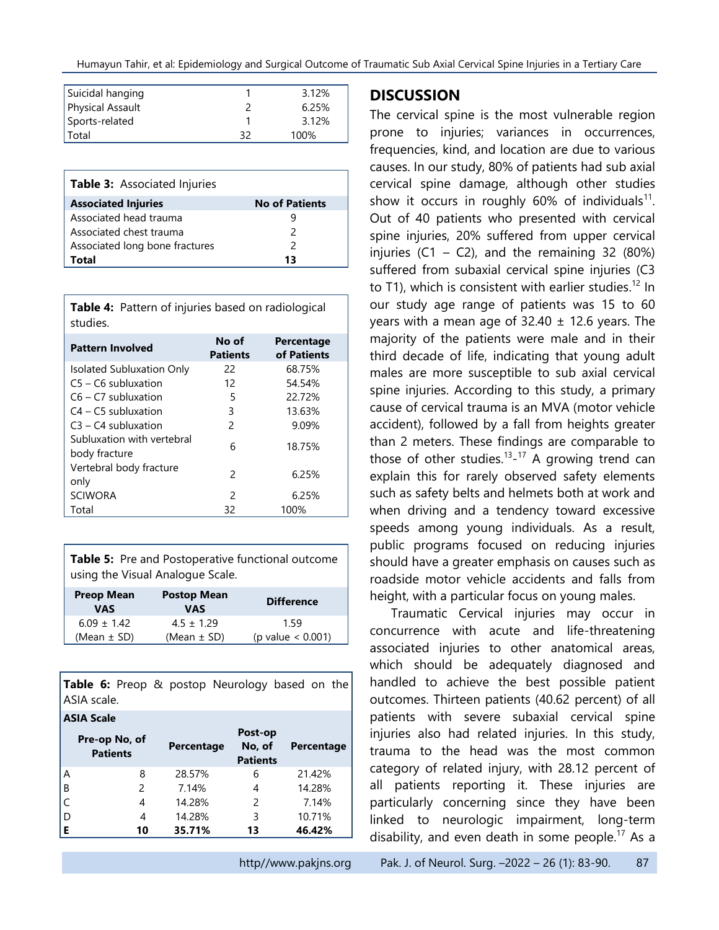| Suicidal hanging |    | 3.12% |
|------------------|----|-------|
| Physical Assault |    | 6.25% |
| Sports-related   |    | 3.12% |
| l Total          | 22 | 100%  |

| <b>Table 3: Associated Injuries</b> |                       |  |  |
|-------------------------------------|-----------------------|--|--|
| <b>Associated Injuries</b>          | <b>No of Patients</b> |  |  |
| Associated head trauma              | ч                     |  |  |
| Associated chest trauma             | $\mathcal{P}$         |  |  |
| Associated long bone fractures      | 2                     |  |  |
| Total                               | 13                    |  |  |

<span id="page-4-0"></span>**Table 4:** Pattern of injuries based on radiological studies.

| <b>Pattern Involved</b>                     | No of<br><b>Patients</b> | Percentage<br>of Patients |
|---------------------------------------------|--------------------------|---------------------------|
| <b>Isolated Subluxation Only</b>            | 22                       | 68.75%                    |
| $C5 - C6$ subluxation                       | 12                       | 54.54%                    |
| $C6 - C7$ subluxation                       | 5                        | 22.72%                    |
| $C4 - C5$ subluxation                       | 3                        | 13.63%                    |
| $C3 - C4$ subluxation                       | $\mathcal{P}$            | 9.09%                     |
| Subluxation with vertebral<br>body fracture | 6                        | 18.75%                    |
| Vertebral body fracture<br>only             | $\mathcal{P}$            | 6.25%                     |
| <b>SCIWORA</b>                              | $\mathcal{P}$            | 6.25%                     |
| Total                                       | 32                       | 100%                      |

<span id="page-4-1"></span>**Table 5:** Pre and Postoperative functional outcome using the Visual Analogue Scale.

| <b>Preop Mean</b><br>VAS | <b>Postop Mean</b><br><b>VAS</b> | <b>Difference</b>           |
|--------------------------|----------------------------------|-----------------------------|
| $6.09 \pm 1.42$          | $4.5 \pm 1.29$                   | 1.59                        |
| (Mean $\pm$ SD)          | (Mean $\pm$ SD)                  | $(p \text{ value} < 0.001)$ |

<span id="page-4-2"></span>**Table 6:** Preop & postop Neurology based on the ASIA scale.

| <b>ASIA Scale</b> |                                  |            |                                      |            |
|-------------------|----------------------------------|------------|--------------------------------------|------------|
|                   | Pre-op No, of<br><b>Patients</b> | Percentage | Post-op<br>No, of<br><b>Patients</b> | Percentage |
| Α                 | 8                                | 28.57%     | 6                                    | 21.42%     |
| $\mathsf B$       | 2                                | 7.14%      | 4                                    | 14.28%     |
| C                 | 4                                | 14.28%     | $\mathcal{P}$                        | 7.14%      |
| l D               | 4                                | 14.28%     | 3                                    | 10.71%     |
| E                 | 10                               | 35.71%     | 13                                   | 46.42%     |

#### **DISCUSSION**

The cervical spine is the most vulnerable region prone to injuries; variances in occurrences, frequencies, kind, and location are due to various causes. In our study, 80% of patients had sub axial cervical spine damage, although other studies show it occurs in roughly 60% of individuals<sup>11</sup>. Out of 40 patients who presented with cervical spine injuries, 20% suffered from upper cervical injuries  $(C1 - C2)$ , and the remaining 32 (80%) suffered from subaxial cervical spine injuries (C3 to T1), which is consistent with earlier studies.<sup>12</sup> In our study age range of patients was 15 to 60 years with a mean age of  $32.40 \pm 12.6$  years. The majority of the patients were male and in their third decade of life, indicating that young adult males are more susceptible to sub axial cervical spine injuries. According to this study, a primary cause of cervical trauma is an MVA (motor vehicle accident), followed by a fall from heights greater than 2 meters. These findings are comparable to those of other studies.<sup>13</sup>-<sup>17</sup> A growing trend can explain this for rarely observed safety elements such as safety belts and helmets both at work and when driving and a tendency toward excessive speeds among young individuals. As a result, public programs focused on reducing injuries should have a greater emphasis on causes such as roadside motor vehicle accidents and falls from height, with a particular focus on young males.

Traumatic Cervical injuries may occur in concurrence with acute and life-threatening associated injuries to other anatomical areas, which should be adequately diagnosed and handled to achieve the best possible patient outcomes. Thirteen patients (40.62 percent) of all patients with severe subaxial cervical spine injuries also had related injuries. In this study, trauma to the head was the most common category of related injury, with 28.12 percent of all patients reporting it. These injuries are particularly concerning since they have been linked to neurologic impairment, long-term disability, and even death in some people.<sup>17</sup> As a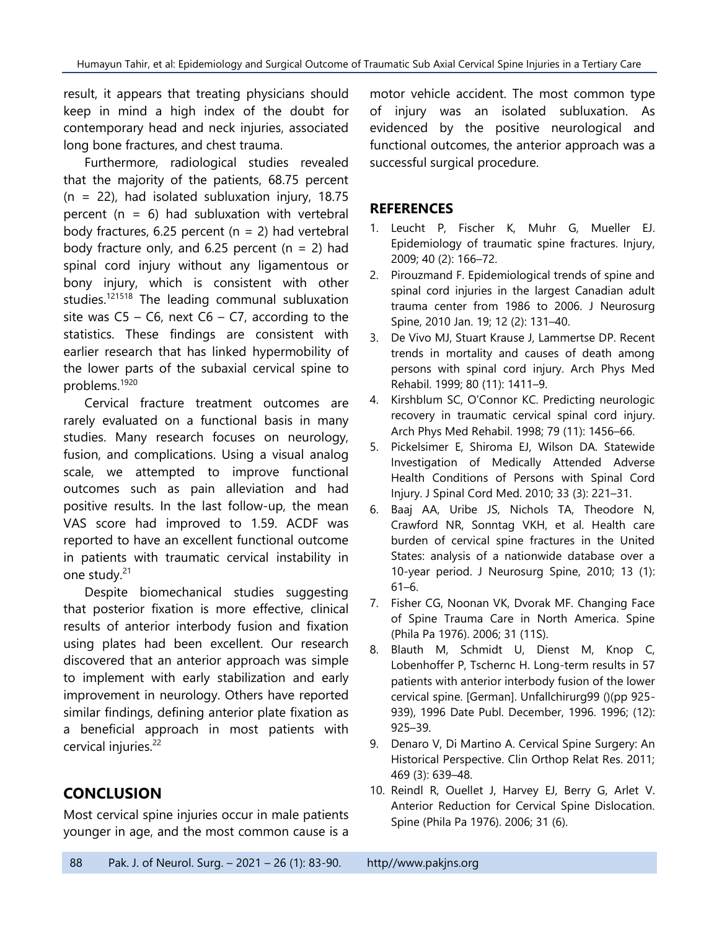result, it appears that treating physicians should keep in mind a high index of the doubt for contemporary head and neck injuries, associated long bone fractures, and chest trauma.

Furthermore, radiological studies revealed that the majority of the patients, 68.75 percent  $(n = 22)$ , had isolated subluxation injury, 18.75 percent ( $n = 6$ ) had subluxation with vertebral body fractures, 6.25 percent ( $n = 2$ ) had vertebral body fracture only, and 6.25 percent  $(n = 2)$  had spinal cord injury without any ligamentous or bony injury, which is consistent with other studies.<sup>121518</sup> The leading communal subluxation site was  $C5 - C6$ , next  $C6 - C7$ , according to the statistics. These findings are consistent with earlier research that has linked hypermobility of the lower parts of the subaxial cervical spine to problems. 1920

Cervical fracture treatment outcomes are rarely evaluated on a functional basis in many studies. Many research focuses on neurology, fusion, and complications. Using a visual analog scale, we attempted to improve functional outcomes such as pain alleviation and had positive results. In the last follow-up, the mean VAS score had improved to 1.59. ACDF was reported to have an excellent functional outcome in patients with traumatic cervical instability in one study.<sup>21</sup>

Despite biomechanical studies suggesting that posterior fixation is more effective, clinical results of anterior interbody fusion and fixation using plates had been excellent. Our research discovered that an anterior approach was simple to implement with early stabilization and early improvement in neurology. Others have reported similar findings, defining anterior plate fixation as a beneficial approach in most patients with cervical injuries. 22

## **CONCLUSION**

Most cervical spine injuries occur in male patients younger in age, and the most common cause is a

motor vehicle accident. The most common type of injury was an isolated subluxation. As evidenced by the positive neurological and functional outcomes, the anterior approach was a successful surgical procedure.

#### **REFERENCES**

- 1. Leucht P, Fischer K, Muhr G, Mueller EJ. Epidemiology of traumatic spine fractures. Injury, 2009; 40 (2): 166–72.
- 2. Pirouzmand F. Epidemiological trends of spine and spinal cord injuries in the largest Canadian adult trauma center from 1986 to 2006. J Neurosurg Spine, 2010 Jan. 19; 12 (2): 131–40.
- 3. De Vivo MJ, Stuart Krause J, Lammertse DP. Recent trends in mortality and causes of death among persons with spinal cord injury. Arch Phys Med Rehabil. 1999; 80 (11): 1411–9.
- 4. Kirshblum SC, O'Connor KC. Predicting neurologic recovery in traumatic cervical spinal cord injury. Arch Phys Med Rehabil. 1998; 79 (11): 1456–66.
- 5. Pickelsimer E, Shiroma EJ, Wilson DA. Statewide Investigation of Medically Attended Adverse Health Conditions of Persons with Spinal Cord Injury. J Spinal Cord Med. 2010; 33 (3): 221–31.
- 6. Baaj AA, Uribe JS, Nichols TA, Theodore N, Crawford NR, Sonntag VKH, et al. Health care burden of cervical spine fractures in the United States: analysis of a nationwide database over a 10-year period. J Neurosurg Spine, 2010; 13 (1): 61–6.
- 7. Fisher CG, Noonan VK, Dvorak MF. Changing Face of Spine Trauma Care in North America. Spine (Phila Pa 1976). 2006; 31 (11S).
- 8. Blauth M, Schmidt U, Dienst M, Knop C, Lobenhoffer P, Tschernc H. Long-term results in 57 patients with anterior interbody fusion of the lower cervical spine. [German]. Unfallchirurg99 ()(pp 925- 939), 1996 Date Publ. December, 1996. 1996; (12): 925–39.
- 9. Denaro V, Di Martino A. Cervical Spine Surgery: An Historical Perspective. Clin Orthop Relat Res. 2011; 469 (3): 639–48.
- 10. Reindl R, Ouellet J, Harvey EJ, Berry G, Arlet V. Anterior Reduction for Cervical Spine Dislocation. Spine (Phila Pa 1976). 2006; 31 (6).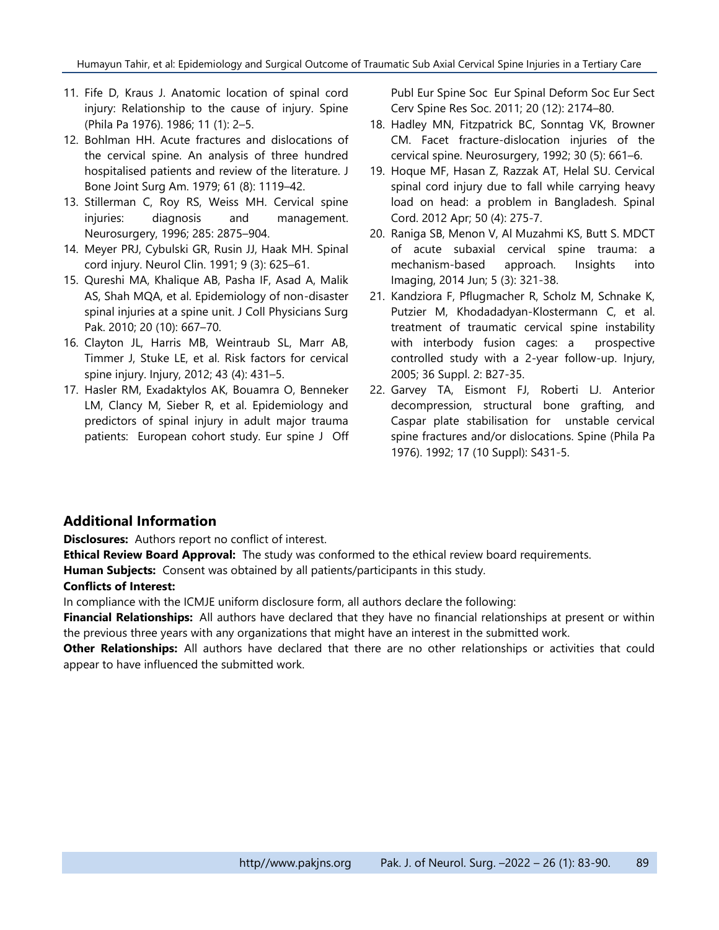- 11. Fife D, Kraus J. Anatomic location of spinal cord injury: Relationship to the cause of injury. Spine (Phila Pa 1976). 1986; 11 (1): 2–5.
- 12. Bohlman HH. Acute fractures and dislocations of the cervical spine. An analysis of three hundred hospitalised patients and review of the literature. J Bone Joint Surg Am. 1979; 61 (8): 1119–42.
- 13. Stillerman C, Roy RS, Weiss MH. Cervical spine injuries: diagnosis and management. Neurosurgery, 1996; 285: 2875–904.
- 14. Meyer PRJ, Cybulski GR, Rusin JJ, Haak MH. Spinal cord injury. Neurol Clin. 1991; 9 (3): 625–61.
- 15. Qureshi MA, Khalique AB, Pasha IF, Asad A, Malik AS, Shah MQA, et al. Epidemiology of non-disaster spinal injuries at a spine unit. J Coll Physicians Surg Pak. 2010; 20 (10): 667–70.
- 16. Clayton JL, Harris MB, Weintraub SL, Marr AB, Timmer J, Stuke LE, et al. Risk factors for cervical spine injury. Injury, 2012; 43 (4): 431–5.
- 17. Hasler RM, Exadaktylos AK, Bouamra O, Benneker LM, Clancy M, Sieber R, et al. Epidemiology and predictors of spinal injury in adult major trauma patients: European cohort study. Eur spine J Off

Publ Eur Spine Soc Eur Spinal Deform Soc Eur Sect Cerv Spine Res Soc. 2011; 20 (12): 2174–80.

- 18. Hadley MN, Fitzpatrick BC, Sonntag VK, Browner CM. Facet fracture-dislocation injuries of the cervical spine. Neurosurgery, 1992; 30 (5): 661–6.
- 19. Hoque MF, Hasan Z, Razzak AT, Helal SU. Cervical spinal cord injury due to fall while carrying heavy load on head: a problem in Bangladesh. Spinal Cord. 2012 Apr; 50 (4): 275-7.
- 20. Raniga SB, Menon V, Al Muzahmi KS, Butt S. MDCT of acute subaxial cervical spine trauma: a mechanism-based approach. Insights into Imaging, 2014 Jun; 5 (3): 321-38.
- 21. Kandziora F, Pflugmacher R, Scholz M, Schnake K, Putzier M, Khodadadyan-Klostermann C, et al. treatment of traumatic cervical spine instability with interbody fusion cages: a prospective controlled study with a 2-year follow-up. Injury, 2005; 36 Suppl. 2: B27-35.
- 22. Garvey TA, Eismont FJ, Roberti LJ. Anterior decompression, structural bone grafting, and Caspar plate stabilisation for unstable cervical spine fractures and/or dislocations. Spine (Phila Pa 1976). 1992; 17 (10 Suppl): S431-5.

#### **Additional Information**

**Disclosures:** Authors report no conflict of interest.

**Ethical Review Board Approval:** The study was conformed to the ethical review board requirements. **Human Subjects:** Consent was obtained by all patients/participants in this study. **Conflicts of Interest:**

### In compliance with the ICMJE uniform disclosure form, all authors declare the following:

**Financial Relationships:** All authors have declared that they have no financial relationships at present or within the previous three years with any organizations that might have an interest in the submitted work.

**Other Relationships:** All authors have declared that there are no other relationships or activities that could appear to have influenced the submitted work.